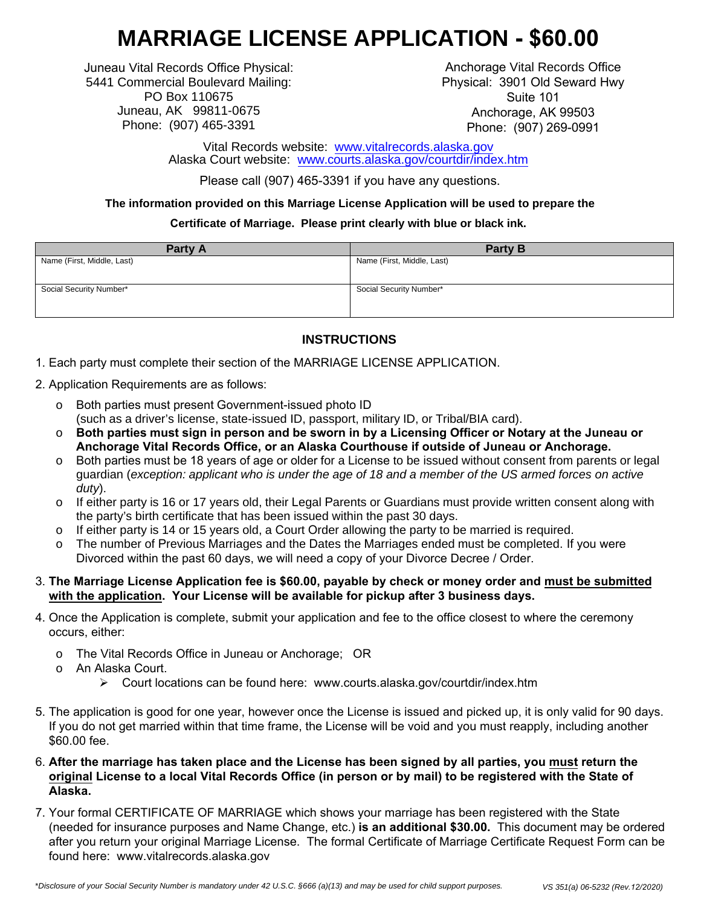# **MARRIAGE LICENSE APPLICATION - \$60.00**

Juneau Vital Records Office Physical: 5441 Commercial Boulevard Mailing: PO Box 110675 Juneau, AK 99811-0675 Phone: (907) 465-3391

Anchorage Vital Records Office Physical: 3901 Old Seward Hwy Suite 101 Anchorage, AK 99503 Phone: (907) 269-0991

Vital Records website: www.vitalrecords.alaska.gov Alaska Court website: www.c[ourts.alaska.gov/courtdir/index](http://www.vitalrecords.alaska.gov/).htm

Please call (907) [465-3391 if you have any questions.](http://www.courts.alaska.gov/courtdir/index.htm)

**The information provided on this Marriage License Application will be used to prepare the**

#### **Certificate of Marriage. Please print clearly with blue or black ink.**

| Party A                    | <b>Party B</b>             |
|----------------------------|----------------------------|
| Name (First, Middle, Last) | Name (First, Middle, Last) |
|                            |                            |
| Social Security Number*    | Social Security Number*    |
|                            |                            |
|                            |                            |

# **INSTRUCTIONS**

- 1. Each party must complete their section of the MARRIAGE LICENSE APPLICATION.
- 2. Application Requirements are as follows:
	- o Both parties must present Government-issued photo ID (such as a driver's license, state-issued ID, passport, military ID, or Tribal/BIA card).
	- o **Both parties must sign in person and be sworn in by a Licensing Officer or Notary at the Juneau or Anchorage Vital Records Office, or an Alaska Courthouse if outside of Juneau or Anchorage.**
	- o Both parties must be 18 years of age or older for a License to be issued without consent from parents or legal guardian (*exception: applicant who is under the age of 18 and a member of the US armed forces on active duty*).
	- o If either party is 16 or 17 years old, their Legal Parents or Guardians must provide written consent along with the party's birth certificate that has been issued within the past 30 days.
	- If either party is 14 or 15 years old, a Court Order allowing the party to be married is required.
	- o The number of Previous Marriages and the Dates the Marriages ended must be completed. If you were Divorced within the past 60 days, we will need a copy of your Divorce Decree / Order.

#### 3. **The Marriage License Application fee is \$60.00, payable by check or money order and must be submitted with the application. Your License will be available for pickup after 3 business days.**

- 4. Once the Application is complete, submit your application and fee to the office closest to where the ceremony occurs, either:
	- o The Vital Records Office in Juneau or Anchorage; OR
	- o An Alaska Court.
		- Court locations can be found here: www.courts.alaska.gov/courtdir/index.htm
- 5. The application is good for one year, however once the License is issued and picked up, it is only valid for 90 days. If you do not get married within that time frame, the License will be void and you must reapply, including another \$60.00 fee.
- 6. **After the marriage has taken place and the License has been signed by all parties, you must return the original License to a local Vital Records Office (in person or by mail) to be registered with the State of Alaska.**
- 7. Your formal CERTIFICATE OF MARRIAGE which shows your marriage has been registered with the State (needed for insurance purposes and Name Change, etc.) **is an additional \$30.00.** This document may be ordered after you return your original Marriage License. The formal Certificate of Marriage Certificate Request Form can be found here: www.vitalrecords.alaska.gov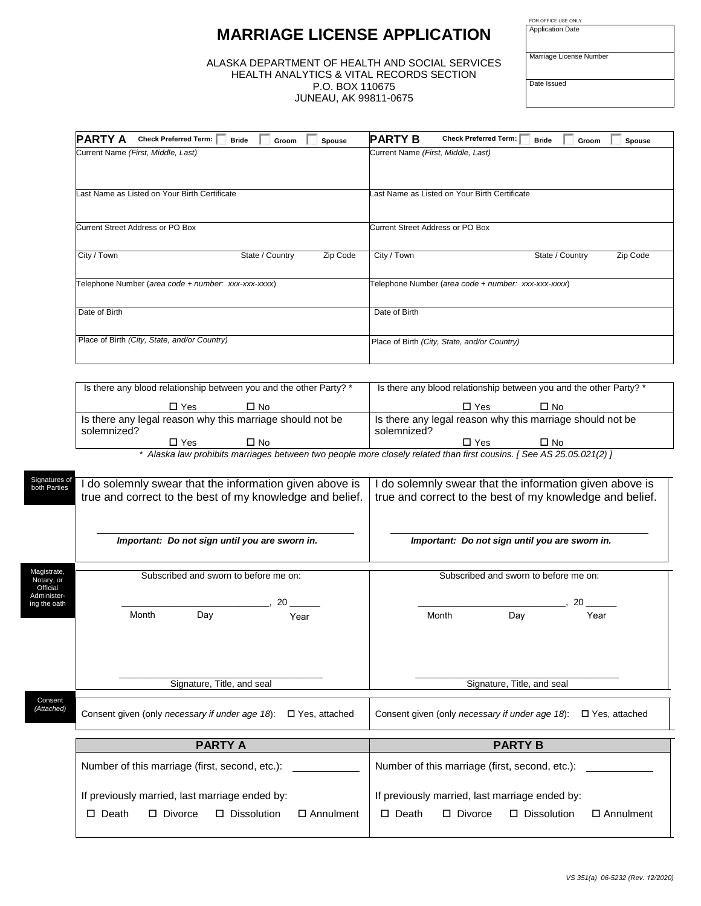# **MARRIAGE LICENSE APPLICATION**

ALASKA DEPARTMENT OF HEALTH AND SOCIAL SERVICES HEALTH ANALYTICS & VITAL RECORDS SECTION P.O. BOX 110675 JUNEAU, AK 99811-0675

| FOR OFFICE USE ONLY     |  |
|-------------------------|--|
| <b>Application Date</b> |  |

Marriage License Number

Date Issued

| <b>PARTY A</b><br><b>Check Preferred Term:</b><br><b>Bride</b><br>Groom                                             | <b>PARTY B</b><br><b>Check Preferred Term:</b><br><b>Bride</b><br>Spouse<br>Groom<br>Spouse                                                      |
|---------------------------------------------------------------------------------------------------------------------|--------------------------------------------------------------------------------------------------------------------------------------------------|
| Current Name (First, Middle, Last)                                                                                  | Current Name (First, Middle, Last)                                                                                                               |
| ast Name as Listed on Your Birth Certificate                                                                        | ast Name as Listed on Your Birth Certificate                                                                                                     |
| Current Street Address or PO Box                                                                                    | <b>Current Street Address or PO Box</b>                                                                                                          |
| City / Town<br>State / Country                                                                                      | City / Town<br>Zip Code<br>State / Country<br>Zip Code                                                                                           |
| Telephone Number (area code + number: xxx-xxx-xxxx)                                                                 | Telephone Number (area code + number: xxx-xxx-xxxx)                                                                                              |
| Date of Birth                                                                                                       | Date of Birth                                                                                                                                    |
|                                                                                                                     |                                                                                                                                                  |
| Place of Birth (City, State, and/or Country)                                                                        | Place of Birth (City, State, and/or Country)                                                                                                     |
| Is there any blood relationship between you and the other Party? *                                                  | Is there any blood relationship between you and the other Party? *                                                                               |
| $\Box$ Yes<br>$\square$ No                                                                                          | $\Box$ Yes<br>$\square$ No                                                                                                                       |
| Is there any legal reason why this marriage should not be<br>solemnized?                                            | Is there any legal reason why this marriage should not be<br>solemnized?                                                                         |
| $\square$ No<br>$\square$ Yes                                                                                       | $\square$ No<br>$\Box$ Yes<br>* Alaska law prohibits marriages between two people more closely related than first cousins. [See AS 25.05.021(2)] |
| Signature <u>s</u> o                                                                                                |                                                                                                                                                  |
| I do solemnly swear that the information given above is<br>true and correct to the best of my knowledge and belief. | I do solemnly swear that the information given above is<br>true and correct to the best of my knowledge and belief.                              |
| Important: Do not sign until you are sworn in.                                                                      | Important: Do not sign until you are sworn in.                                                                                                   |
|                                                                                                                     |                                                                                                                                                  |
| Subscribed and sworn to before me on:                                                                               | Subscribed and sworn to before me on:                                                                                                            |
| 20                                                                                                                  | 20                                                                                                                                               |
| Month<br>Day<br>Year                                                                                                | Month<br>Day<br>Year                                                                                                                             |

\_\_\_\_\_\_\_\_\_\_\_\_\_\_\_\_\_\_\_\_\_\_\_\_\_\_\_\_\_\_\_\_\_\_\_\_\_\_\_\_ Signature, Title, and seal \_\_\_\_\_\_\_\_\_\_\_\_\_\_\_\_\_\_\_\_\_\_\_\_\_\_\_\_\_\_\_\_\_\_\_\_\_\_\_\_ Signature, Title, and seal Consent given (only *necessary if under age 18*): Yes, attached Consent given (only *necessary if under age 18*): Yes, attached **PARTY A PARTY B** Number of this marriage (first, second, etc.): If previously married, last marriage ended by: Death Divorce Dissolution Annulment Number of this marriage (first, second, etc.): If previously married, last marriage ended by: Death Divorce Dissolution Annulment Consent *(Attached)*